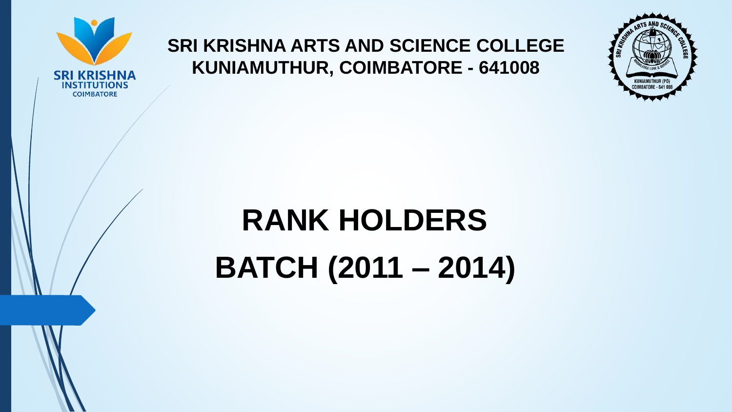

## **SRI KRISHNA ARTS AND SCIENCE COLLEGE KUNIAMUTHUR, COIMBATORE - 641008**



## **RANK HOLDERS**

**BATCH (2011 – 2014)**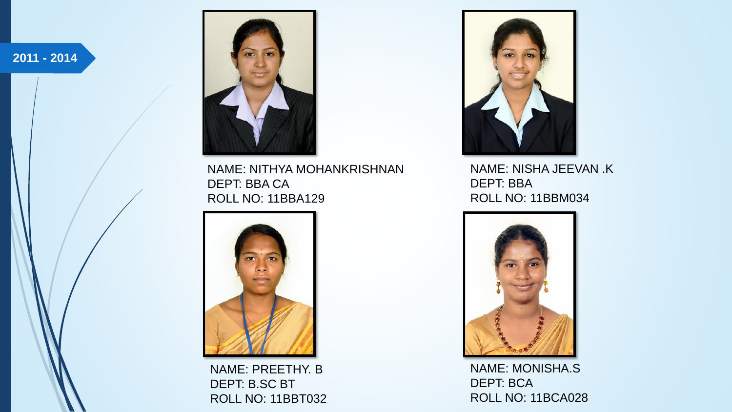**2011 - 2014**



NAME: NITHYA MOHANKRISHNAN DEPT: BBA CA ROLL NO: 11BBA129



NAME: PREETHY. B DEPT: B.SC BT ROLL NO: 11BBT032



NAME: NISHA JEEVAN .K DEPT: BBA ROLL NO: 11BBM034



NAME: MONISHA.S DEPT: BCA ROLL NO: 11BCA028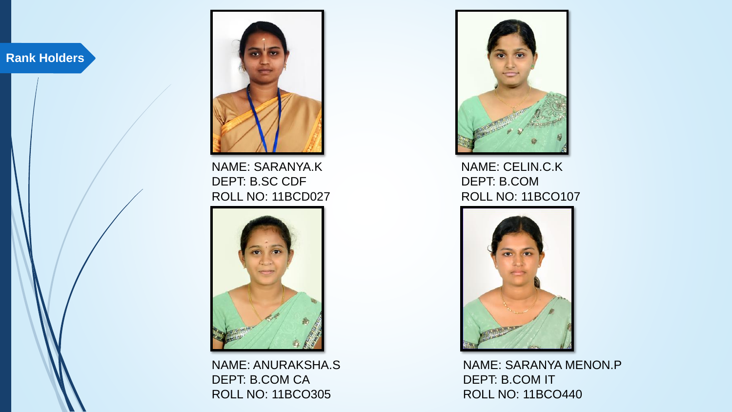

NAME: SARANYA.K DEPT: B.SC CDF ROLL NO: 11BCD027



NAME: ANURAKSHA.S DEPT: B.COM CA ROLL NO: 11BCO305



NAME: CELIN.C.K DEPT: B.COM ROLL NO: 11BCO107



NAME: SARANYA MENON.P DEPT: B.COM IT ROLL NO: 11BCO440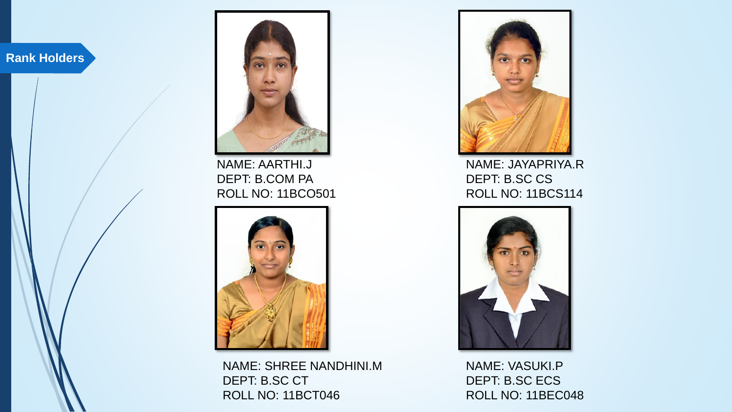

NAME: AARTHI.J DEPT: B.COM PA ROLL NO: 11BCO501



NAME: SHREE NANDHINI.M DEPT: B.SC CT ROLL NO: 11BCT046



NAME: JAYAPRIYA.R DEPT: B.SC CS ROLL NO: 11BCS114



NAME: VASUKI.P DEPT: B.SC ECS ROLL NO: 11BEC048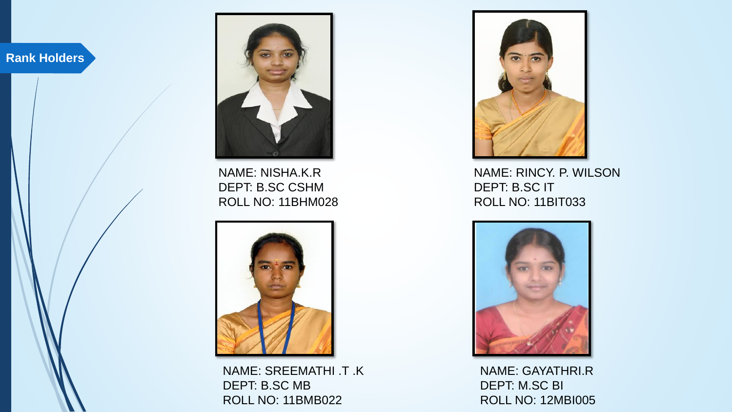

NAME: NISHA.K.R DEPT: B.SC CSHM ROLL NO: 11BHM028



NAME: SREEMATHI .T .K DEPT: B.SC MB ROLL NO: 11BMB022



NAME: RINCY. P. WILSON DEPT: B.SC IT ROLL NO: 11BIT033



NAME: GAYATHRI.R DEPT: M.SC BI ROLL NO: 12MBI005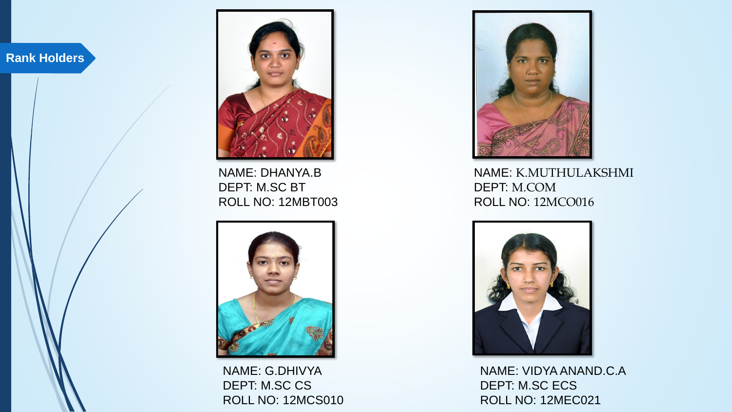

NAME: DHANYA.B DEPT: M.SC BT ROLL NO: 12MBT003



NAME: G.DHIVYA DEPT: M.SC CS ROLL NO: 12MCS010



NAME: K.MUTHULAKSHMI DEPT: M.COM ROLL NO: 12MCO016



NAME: VIDYA ANAND.C.A DEPT: M.SC ECS ROLL NO: 12MEC021